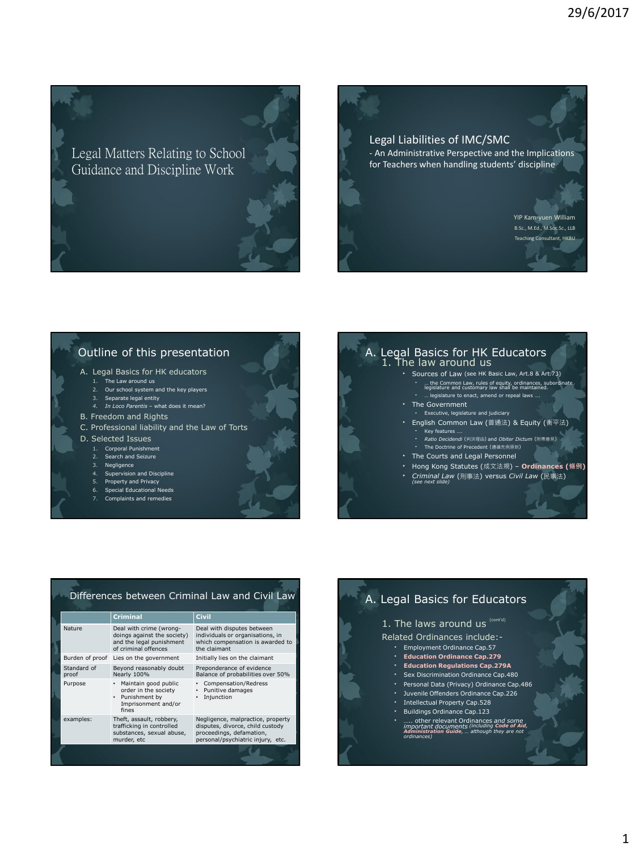Legal Matters Relating to School Guidance and Discipline Work

### Legal Liabilities of IMC/SMC - An Administrative Perspective and the Implications for Teachers when handling students' discipline

YIP Kam-yuen William B.Sc., M.Ed., M.Soc.Sc., LLB Teaching Consultant, HKBU

### Outline of this presentation

- A. Legal Basics for HK educators
	- 1. The Law around us
	- 2. Our school system and the key players 3. Separate legal entity
	- *4. In Loco Parentis*  what does it mean?
- B. Freedom and Rights
	-
- C. Professional liability and the Law of Torts
- D. Selected Issues
	- 1. Corporal Punishment
	- 2. Search and Seizure Negligence
	- 4. Supervision and Discipline
	- 5. Property and Privacy
	- 6. Special Educational Needs
	- 7. Complaints and remedies

#### A. Legal Basics for HK Educators 1. The law around us

- Sources of Law (see HK Basic Law, Art.8 & Art.73)
	- … the Common Law, rules of equity, ordinances, subordinate legislature and customary law shall be maintained. • … legislature to enact, amend or repeal laws ….
	- The Government
	- Executive, legislature and judiciary
	- English Common Law (普通法) & Equity (衡平法) • Key features ….
		-
	- *Ratio Decidendi* (判決理由) and *Obiter Dictum* (附帶意見) The Doctrine of Precedent (遵循先例原則)
	- The Courts and Legal Personnel
	- Hong Kong Statutes (成文法規) **Ordinances (條例)**
	- *Criminal Law* (刑事法) versus *Civil Law* (民事法) *(see next slide)*

#### Differences between Criminal Law and Civil Law

|                      | <b>Criminal</b>                                                                                              | <b>Civil</b>                                                                                                                           |
|----------------------|--------------------------------------------------------------------------------------------------------------|----------------------------------------------------------------------------------------------------------------------------------------|
| Nature               | Deal with crime (wrong-<br>doings against the society)<br>and the legal punishment<br>of criminal offences   | Deal with disputes between<br>individuals or organisations, in<br>which compensation is awarded to<br>the claimant                     |
|                      | Burden of proof Lies on the government                                                                       | Initially lies on the claimant                                                                                                         |
| Standard of<br>proof | Beyond reasonably doubt<br>Nearly 100%                                                                       | Preponderance of evidence<br>Balance of probabilities over 50%                                                                         |
| Purpose              | Maintain good public<br>$\bullet$<br>order in the society<br>• Punishment by<br>Imprisonment and/or<br>fines | • Compensation/Redress<br>Punitive damages<br>$\bullet$<br>• Injunction                                                                |
| examples:            | Theft, assault, robbery,<br>trafficking in controlled<br>substances, sexual abuse,<br>murder, etc            | Negligence, malpractice, property<br>disputes, divorce, child custody<br>proceedings, defamation,<br>personal/psychiatric injury, etc. |
|                      |                                                                                                              |                                                                                                                                        |

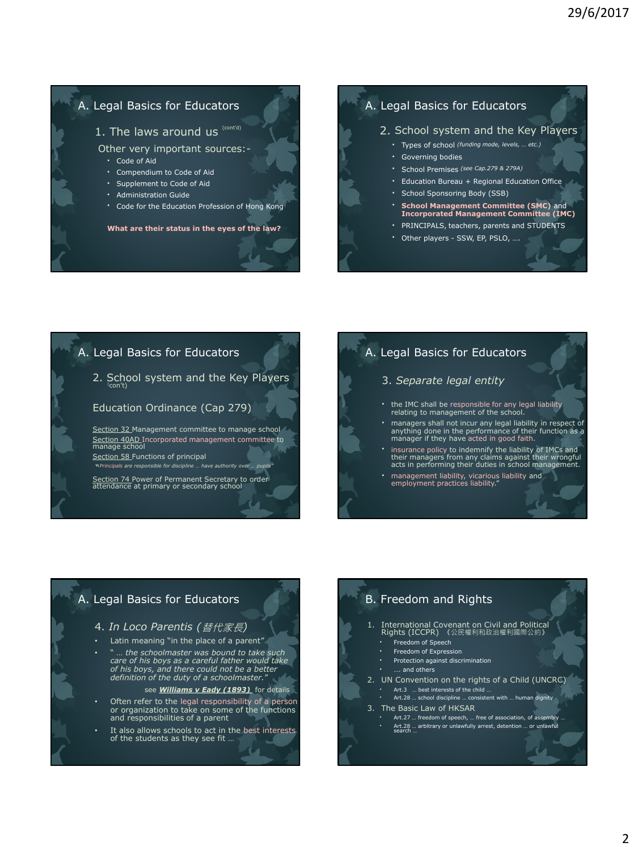### A. Legal Basics for Educators

1. The laws around us  $(cont<sup>d</sup>)$ 

Other very important sources:-

- Code of Aid
- Compendium to Code of Aid
- Supplement to Code of Aid
- Administration Guide
- Code for the Education Profession of Hong Kong

**What are their status in the eyes of the law?**

#### A. Legal Basics for Educators

#### 2. School system and the Key Players

- Types of school *(funding mode, levels, … etc.)*
- Governing bodies
- School Premises *(see Cap.279 & 279A)*
- Education Bureau + Regional Education Office
- School Sponsoring Body (SSB)
- **School Management Committee (SMC)** and **Incorporated Management Committee (IMC)**
- PRINCIPALS, teachers, parents and STUDENTS
- Other players SSW, EP, PSLO, ….

### A. Legal Basics for Educators

2. School system and the Key Players  $\frac{1}{2}$ 

#### Education Ordinance (Cap 279)

Section 32 Management committee to manage school Section 40AD Incorporated management committee to<br>manage school Section 58 Functions of principal

" *Principals are responsible for discipline … have authority over … pupils"*

Section 74 Power of Permanent Secretary to order<br>attendance at primary or secondary school

### A. Legal Basics for Educators

#### 3. *Separate legal entity*

- the IMC shall be responsible for any legal liability relating to management of the school.
- managers shall not incur any legal liability in respect of anything done in the performance of their function as a manager if they have acted in good faith.
- insurance policy to indemnify the liability of IMCs and their managers from any claims against their wrongful acts in performing their duties in school management.
- management liability, vicarious liability and employment practices liability."

### A. Legal Basics for Educators

#### 4. *In Loco Parentis (*替代家長*)*

- Latin meaning "in the place of a parent"
- " … *the schoolmaster was bound to take such care of his boys as a careful father would take of his boys, and there could not be a better definition of the duty of a schoolmaster.*"
	- see *Williams v Eady (1893)* for details

T.

- Often refer to the legal responsibility of a person or organization to take on some of the functions and responsibilities of a parent
- It also allows schools to act in the best interests of the students as they see fit …

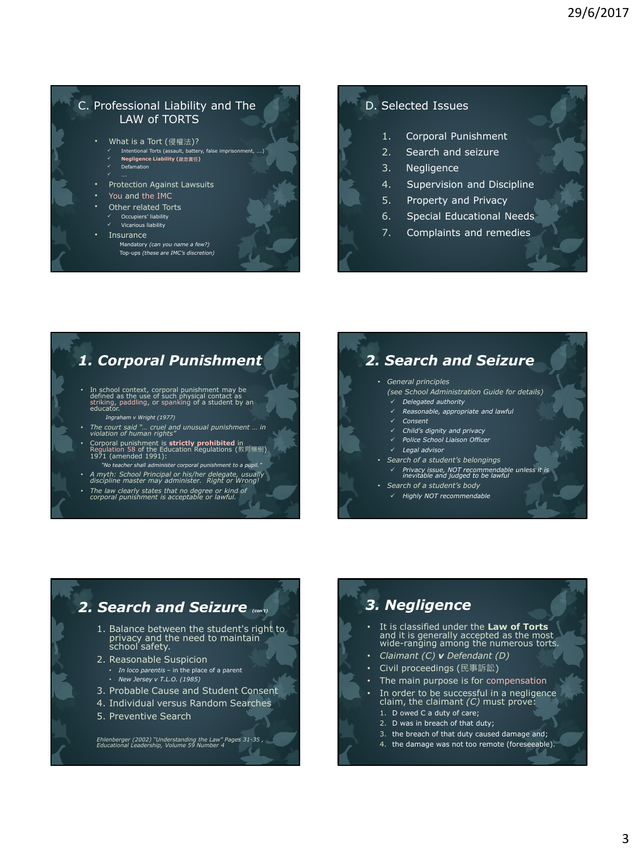## C. Professional Liability and The LAW of TORTS

- What is a Tort (侵權法)? Intentional Torts (ass
- **Negligence Liability (疏忽責任)** Defamation
- Protection Against Lawsuits
- You and the IMC
- Other related Torts
	- Occupiers' liability
- Vicarious liability
- **Insurance** 
	- Mandatory *(can you name a few?)* Top-ups *(these are IMC's discretion)*

### D. Selected Issues

- 1. Corporal Punishment
- 2. Search and seizure
- 3. Negligence
- 4. Supervision and Discipline
- 5. Property and Privacy
- 6. Special Educational Needs
- 7. Complaints and remedies

## *1. Corporal Punishment*

- In school context, corporal punishment may be defined as the use of such physical contact as striking, paddling, or spanking of a student by an educator.
	- *Ingraham v Wright (1977)*
- *The court said "… cruel and unusual punishment … in violation of human rights"*
- Corporal punishment is **strictly prohibited** in Regulation 58 of the Education Regulations (教育條例) 1971 (amended 1991):
- *"No teacher shall administer corporal punishment to a pupil."* • *A myth: School Principal or his/her delegate, usually discipline master may administer. Right or Wrong!*
- 
- *The law clearly states that no degree or kind of corporal punishment is acceptable or lawful.*

## *2. Search and Seizure*

#### • *General principles*

- *(see School Administration Guide for details)*
	- *Delegated authority Reasonable, appropriate and lawful*
	- *Consent*
	- *Child's dignity and privacy*
	- *Police School Liaison Officer*
- *Legal advisor*
- *Search of a student's belongings*
	- *Privacy issue, NOT recommendable unless it is inevitable and judged to be lawful*
- *Search of a student's body*
	- *Highly NOT recommendable*

### *2. Search and Seizure (con't)* 1. Balance between the student's right to privacy and the need to maintain school safety. 2. Reasonable Suspicion • *In loco parentis –* in the place of a parent • *New Jersey v T.L.O. (1985)*

- 3. Probable Cause and Student Consent
- 4. Individual versus Random Searches
- 5. Preventive Search

*Ehlenberger (2002) "Understanding the Law" Pages 31-35 , Educational Leadership, Volume 59 Number 4*  T.

# *3. Negligence*

- It is classified under the **Law of Torts**  and it is generally accepted as the most wide-ranging among the numerous torts.
- *Claimant (C) v Defendant (D)*
- Civil proceedings (民事訴訟)
- The main purpose is for compensation
- In order to be successful in a negligence claim, the claimant *(C)* must prove:
	- 1. D owed C a duty of care;
	- 2. D was in breach of that duty; 3. the breach of that duty caused damage and;
	- 4. the damage was not too remote (foreseeable).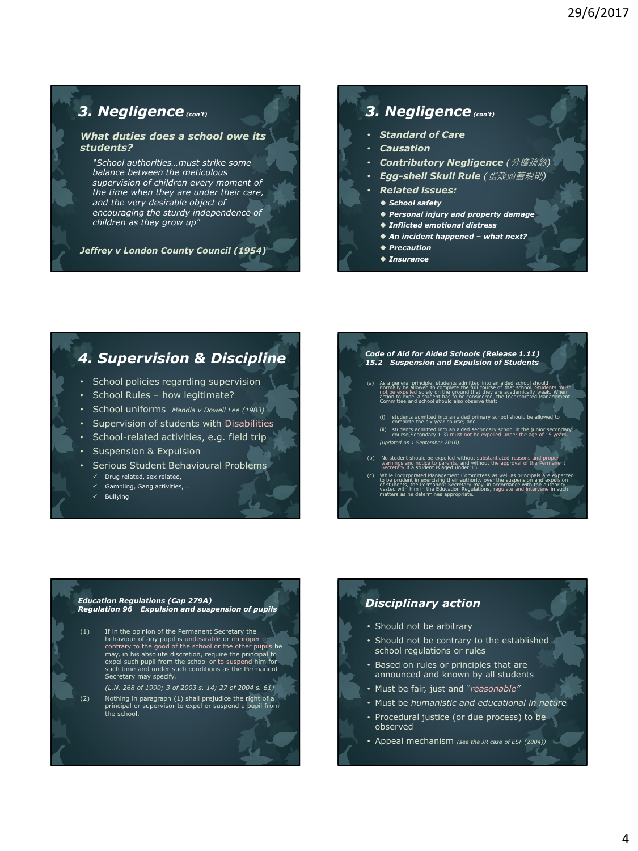## *3. Negligence(con't)*

#### *What duties does a school owe its students?*

*"School authorities…must strike some balance between the meticulous supervision of children every moment of the time when they are under their care, and the very desirable object of encouraging the sturdy independence of children as they grow up"* 

*Jeffrey v London County Council (1954)*

## *3. Negligence(con't)*

- *Standard of Care*
- *Causation*
- *Contributory Negligence (*分擔疏忽*)*
- *Egg-shell Skull Rule (*蛋殼頭蓋規則*)*
- *Related issues:*
- *School safety*
- *Personal injury and property damage*
- *Inflicted emotional distress*
- *An incident happened – what next?*
- *Precaution*
- *Insurance*

## *4. Supervision & Discipline*

- School policies regarding supervision
- School Rules how legitimate?
- School uniforms *Mandla v Dowell Lee (1983)*
- Supervision of students with Disabilities
- School-related activities, e.g. field trip
- **Suspension & Expulsion**
- Serious Student Behavioural Problems
	- $\checkmark$  Drug related, sex related,
	- $\checkmark$  Gambling, Gang activities,
	- Bullying

#### *Code of Aid for Aided Schools (Release 1.11) 15.2 Suspension and Expulsion of Students*

- (a) As a general principle, students admitted into an aided school should normally be allowed to complete the full course of that school. Students must not be expelled solely on the ground that they are academically weak. When action to expel a student has to be considered, the Incorporated Management Committee and school should also observe that:
	- (i) students admitted into an aided primary school should be allowed to complete the six-year course; and
	- (ii) students admitted into an aided secondary school in the junior secondary course(Secondary 1-3) must not be expelled under the age of 15 years. *(updated on 1 September 2010)*
- (b) No student should be expelled without substantiated reasons and proper warnings and notice to parents, and without the approval of the Permanent Secretary if a student is aged under 15.
- ted Manag to be prudent in exercising their authority over the suspension and expulsion of students, the Permanent Secretary may, in accordance with the authority vested with him in the Education Regulations, regulate and intervene in such matters as he determines appropriate.

#### *Education Regulations (Cap 279A) Regulation 96 Expulsion and suspension of pupils*

- (1) If in the opinion of the Permanent Secretary the behaviour of any pupil is undesirable or improper or contrary to the good of the school or the other pupils he may, in his absolute discretion, require the principal to expel such pupil from the school or to suspend him for such time and under such conditions as the Permanent Secretary may specify.
- *(L.N. 268 of 1990; 3 of 2003 s. 14; 27 of 2004 s. 61)* (2) Nothing in paragraph (1) shall prejudice the right of a principal or supervisor to expel or suspend a pupil from the school.

## *Disciplinary action*

- Should not be arbitrary
- Should not be contrary to the established school regulations or rules
- Based on rules or principles that are announced and known by all students
- Must be fair, just and *"reasonable"*
- Must be *humanistic and educational in nature*
- Procedural justice (or due process) to be observed
- Appeal mechanism *(see the JR case of ESF (2004))*

M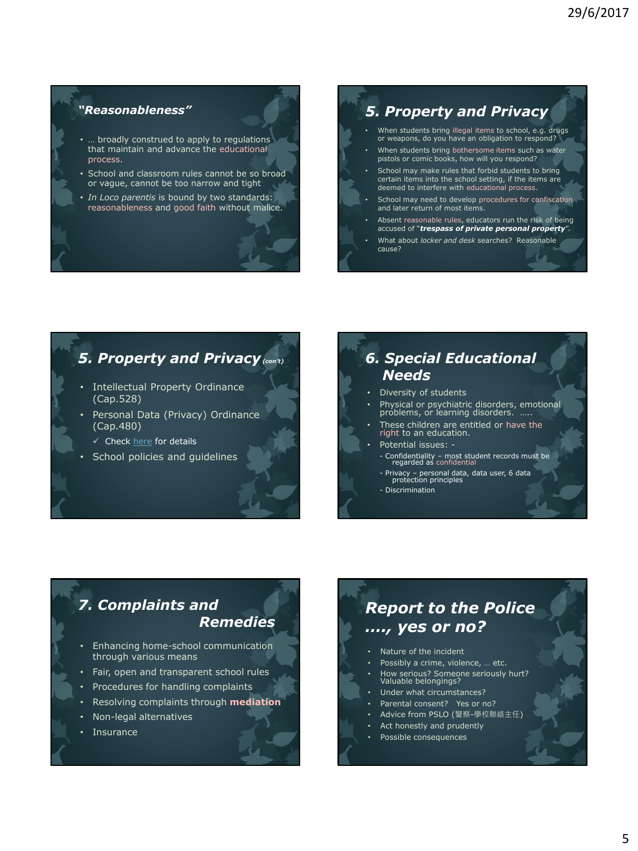### *"Reasonableness"*

- ... broadly construed to apply to regulations that maintain and advance the educational process.
- School and classroom rules cannot be so broad or vague, cannot be too narrow and tight
- *In Loco parentis* is bound by two standards: reasonableness and good faith without malice.

## *5. Property and Privacy*

- When students bring illegal items to school, e.g. drugs or weapons, do you have an obligation to respond?
- When students bring bothersome items such as water pistols or comic books, how will you respond?
- School may make rules that forbid students to bring certain items into the school setting, if the items are deemed to interfere with educational process.
- School may need to develop procedures for confiscation and later return of most items.
- Absent reasonable rules, educators run the risk of being accused of "*trespass of private personal property*".
- What about *locker and desk* searches? Reasonable cause?

## *5. Property and Privacy(con't)*

- Intellectual Property Ordinance (Cap.528)
- Personal Data (Privacy) Ordinance (Cap.480)
	- $\checkmark$  Check [here](https://www.pcpd.org.hk/tc_chi/data_privacy_law/6_data_protection_principles/principles.html) for details
- School policies and guidelines

## *6. Special Educational Needs*

- Diversity of students
- Physical or psychiatric disorders, emotional problems, or learning disorders. …..
- These children are entitled or have the right to an education.
- Potential issues: - Confidentiality – most student records must be regarded as confidential
	- Privacy personal data, data user, 6 data protection principles
	- Discrimination

## *7. Complaints and Remedies*

- Enhancing home-school communication through various means
- Fair, open and transparent school rules
- Procedures for handling complaints
- Resolving complaints through **mediation**
- Non-legal alternatives
- **Insurance**

# *Report to the Police …., yes or no?*

- Nature of the incident
- Possibly a crime, violence, ... etc.
- How serious? Someone seriously hurt? Valuable belongings?
- Under what circumstances?
- Parental consent? Yes or no?
- Advice from PSLO (警察-學校聯絡主任) Act honestly and prudently
- Possible consequences